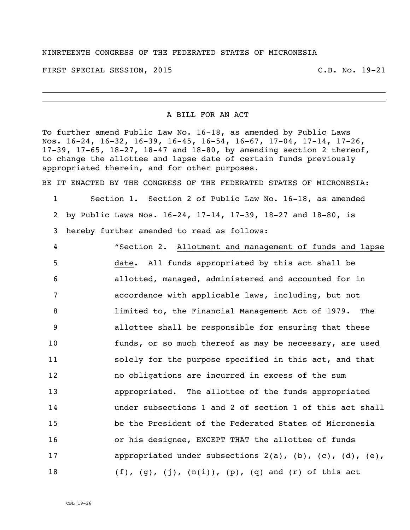## NINRTEENTH CONGRESS OF THE FEDERATED STATES OF MICRONESIA

FIRST SPECIAL SESSION, 2015 C.B. No. 19-21

## A BILL FOR AN ACT

To further amend Public Law No. 16-18, as amended by Public Laws Nos. 16-24, 16-32, 16-39, 16-45, 16-54, 16-67, 17-04, 17-14, 17-26, 17-39, 17-65, 18-27, 18-47 and 18-80, by amending section 2 thereof, to change the allottee and lapse date of certain funds previously appropriated therein, and for other purposes.

BE IT ENACTED BY THE CONGRESS OF THE FEDERATED STATES OF MICRONESIA:

1 Section 1. Section 2 of Public Law No. 16-18, as amended 2 by Public Laws Nos. 16-24, 17-14, 17-39, 18-27 and 18-80, is 3 hereby further amended to read as follows:

 "Section 2. Allotment and management of funds and lapse date. All funds appropriated by this act shall be allotted, managed, administered and accounted for in accordance with applicable laws, including, but not limited to, the Financial Management Act of 1979. The allottee shall be responsible for ensuring that these funds, or so much thereof as may be necessary, are used solely for the purpose specified in this act, and that no obligations are incurred in excess of the sum appropriated. The allottee of the funds appropriated under subsections 1 and 2 of section 1 of this act shall be the President of the Federated States of Micronesia or his designee, EXCEPT THAT the allottee of funds 17 appropriated under subsections 2(a), (b), (c), (d), (e),  $(f)$ ,  $(g)$ ,  $(j)$ ,  $(n(i))$ ,  $(p)$ ,  $(q)$  and  $(r)$  of this act